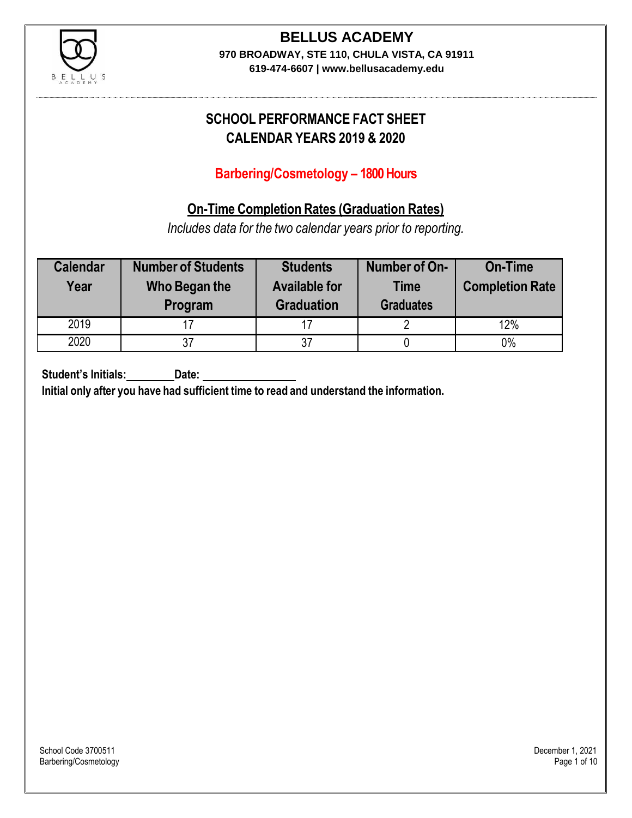

### **BELLUS ACADEMY 970 BROADWAY, STE 110, CHULA VISTA, CA 91911**

**619-474-6607 | www.bellusacademy.edu**

# **SCHOOL PERFORMANCE FACT SHEET CALENDAR YEARS 2019 & 2020**

# **Barbering/Cosmetology – 1800 Hours**

## **On-Time Completion Rates (Graduation Rates)**

*Includes data for the two calendar years prior to reporting.*

| <b>Calendar</b><br>Year | <b>Number of Students</b><br>Who Began the<br>Program | <b>Students</b><br><b>Available for</b><br><b>Graduation</b> | Number of On-<br><b>Time</b><br><b>Graduates</b> | <b>On-Time</b><br><b>Completion Rate</b> |
|-------------------------|-------------------------------------------------------|--------------------------------------------------------------|--------------------------------------------------|------------------------------------------|
| 2019                    |                                                       | 17                                                           |                                                  | 12%                                      |
| 2020                    |                                                       | 37                                                           |                                                  | 0%                                       |

**Student's Initials: Date:**

**Initial only after you have had sufficient time to read and understand the information.**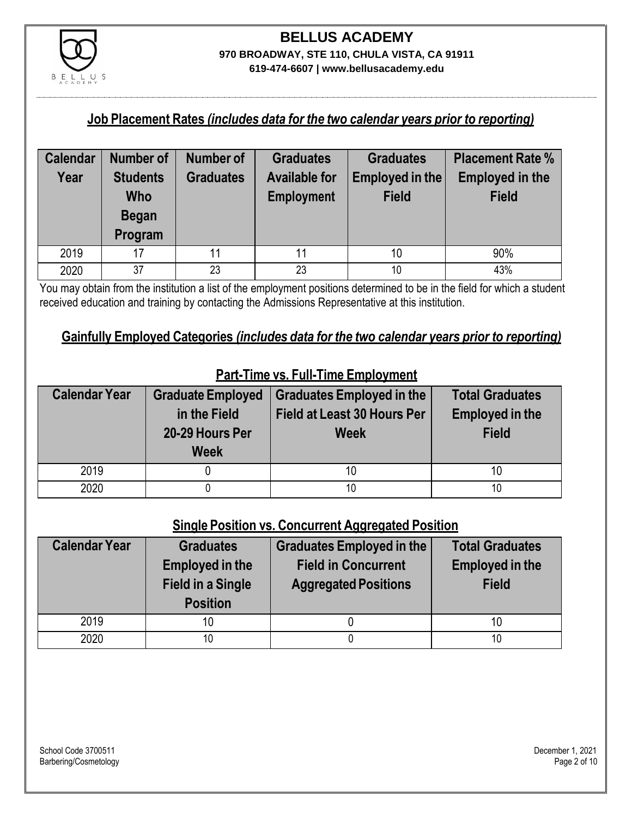

#### **Job Placement Rates** *(includes data for the two calendar years prior to reporting)*

| <b>Calendar</b> | Number of                                         | Number of        | <b>Graduates</b>                          | <b>Graduates</b>                | <b>Placement Rate %</b>                |
|-----------------|---------------------------------------------------|------------------|-------------------------------------------|---------------------------------|----------------------------------------|
| Year            | <b>Students</b><br>Who<br><b>Began</b><br>Program | <b>Graduates</b> | <b>Available for</b><br><b>Employment</b> | Employed in the<br><b>Field</b> | <b>Employed in the</b><br><b>Field</b> |
| 2019            | 17                                                | 11               | 11                                        | 10                              | 90%                                    |
| 2020            | 37                                                | 23               | 23                                        | 10                              | 43%                                    |

You may obtain from the institution a list of the employment positions determined to be in the field for which a student received education and training by contacting the Admissions Representative at this institution.

#### **Gainfully Employed Categories** *(includes data for the two calendar years prior to reporting)*

| <b>Calendar Year</b> | <b>Graduate Employed</b><br>in the Field<br>20-29 Hours Per<br><b>Week</b> | <b>Graduates Employed in the</b><br><b>Field at Least 30 Hours Per</b><br><b>Week</b> | <b>Total Graduates</b><br><b>Employed in the</b><br><b>Field</b> |
|----------------------|----------------------------------------------------------------------------|---------------------------------------------------------------------------------------|------------------------------------------------------------------|
| 2019                 |                                                                            | 10                                                                                    |                                                                  |
| 2020                 |                                                                            | 10                                                                                    | 10                                                               |

# **Part-Time vs. Full-Time Employment**

### **Single Position vs. Concurrent Aggregated Position**

| <b>Calendar Year</b> | <b>Graduates</b><br><b>Employed in the</b><br><b>Field in a Single</b><br><b>Position</b> | <b>Graduates Employed in the</b><br><b>Field in Concurrent</b><br><b>Aggregated Positions</b> | <b>Total Graduates</b><br><b>Employed in the</b><br><b>Field</b> |
|----------------------|-------------------------------------------------------------------------------------------|-----------------------------------------------------------------------------------------------|------------------------------------------------------------------|
| 2019                 | 10                                                                                        |                                                                                               | 10                                                               |
| 2020                 | 10                                                                                        |                                                                                               | 10                                                               |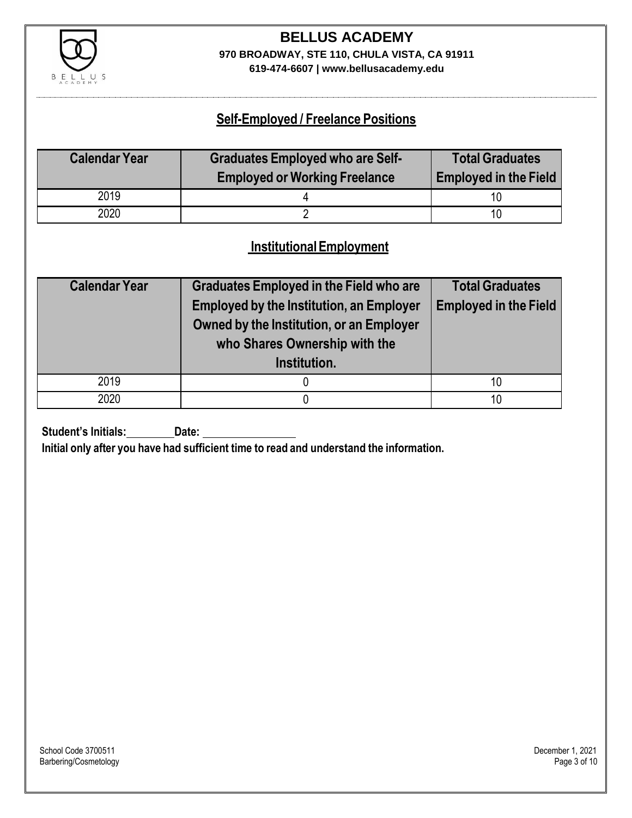

# **BELLUS ACADEMY 970 BROADWAY, STE 110, CHULA VISTA, CA 91911**

**619-474-6607 | www.bellusacademy.edu**

## **Self-Employed / Freelance Positions**

| <b>Calendar Year</b> | <b>Graduates Employed who are Self-</b> | <b>Total Graduates</b>       |
|----------------------|-----------------------------------------|------------------------------|
|                      | <b>Employed or Working Freelance</b>    | <b>Employed in the Field</b> |
| 2019                 |                                         |                              |
| 2020                 |                                         | 10                           |

### **InstitutionalEmployment**

| <b>Calendar Year</b> | <b>Graduates Employed in the Field who are</b><br><b>Employed by the Institution, an Employer</b><br>Owned by the Institution, or an Employer<br>who Shares Ownership with the<br>Institution. | <b>Total Graduates</b><br><b>Employed in the Field</b> |
|----------------------|------------------------------------------------------------------------------------------------------------------------------------------------------------------------------------------------|--------------------------------------------------------|
| 2019                 |                                                                                                                                                                                                | 10                                                     |
| 2020                 |                                                                                                                                                                                                | 10                                                     |

**Student's Initials: Date:**

**Initial only after you have had sufficient time to read and understand the information.**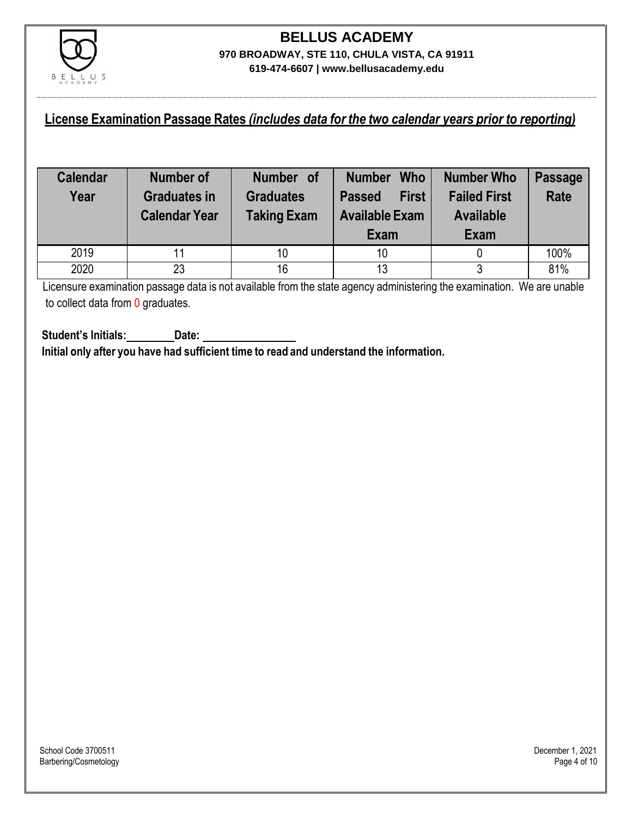

### **License Examination Passage Rates** *(includes data for the two calendar years prior to reporting)*

| <b>Calendar</b><br>Year | Number of<br><b>Graduates in</b><br><b>Calendar Year</b> | Number of<br><b>Graduates</b><br><b>Taking Exam</b> | <b>Who</b><br><b>Number</b><br><b>First</b><br><b>Passed</b><br><b>Available Exam</b><br>Exam | Number Who<br><b>Failed First</b><br><b>Available</b><br>Exam | <b>Passage</b><br><b>Rate</b> |
|-------------------------|----------------------------------------------------------|-----------------------------------------------------|-----------------------------------------------------------------------------------------------|---------------------------------------------------------------|-------------------------------|
| 2019                    |                                                          | 10                                                  | 10                                                                                            |                                                               | 100%                          |
| 2020                    | 23                                                       | 16                                                  | 13                                                                                            |                                                               | 81%                           |

Licensure examination passage data is not available from the state agency administering the examination. We are unable to collect data from 0 graduates.

**Student's Initials: Date: Initial only after you have had sufficient time to read and understand the information.**

School Code 3700511 December 1, 2021<br>Barbering/Cosmetology Page 4 of 10 Barbering/Cosmetology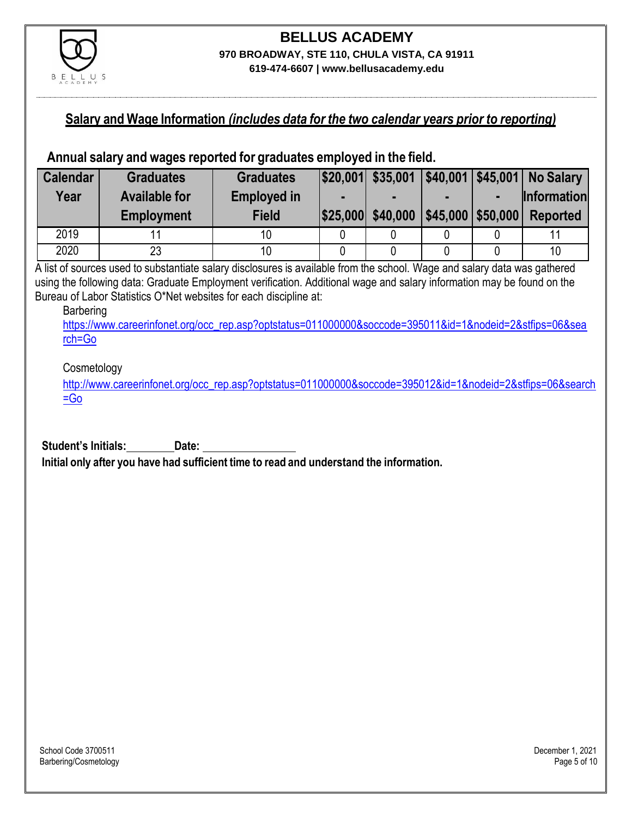

#### **Salary and Wage Information** *(includes data for the two calendar years prior to reporting)*

#### **Annual salary and wages reported for graduates employed in the field.**

| <b>Calendar</b> | <b>Graduates</b>     | <b>Graduates</b>   |                   |                        |   | $ \$20,001 $ \$35,001   \$40,001   \$45,001   No Salary |
|-----------------|----------------------|--------------------|-------------------|------------------------|---|---------------------------------------------------------|
| Year            | <b>Available for</b> | <b>Employed in</b> |                   |                        | ш | <b>Information</b>                                      |
|                 | <b>Employment</b>    | <b>Field</b>       | \$25,000 \$40,000 | $ $45,000$ \\$50,000 \ |   | <b>Reported</b>                                         |
| 2019            |                      |                    |                   |                        |   |                                                         |
| 2020            | 23                   |                    |                   |                        |   | 10                                                      |

A list of sources used to substantiate salary disclosures is available from the school. Wage and salary data was gathered using the following data: Graduate Employment verification. Additional wage and salary information may be found on the Bureau of Labor Statistics O\*Net websites for each discipline at:

#### Barbering

[https://www.careerinfonet.org/occ\\_rep.asp?optstatus=011000000&soccode=395011&id=1&nodeid=2&stfips=06&sea](https://www.careerinfonet.org/occ_rep.asp?optstatus=011000000&soccode=395011&id=1&nodeid=2&stfips=06&search=Go) [rch=Go](https://www.careerinfonet.org/occ_rep.asp?optstatus=011000000&soccode=395011&id=1&nodeid=2&stfips=06&search=Go)

#### **Cosmetology**

[http://www.careerinfonet.org/occ\\_rep.asp?optstatus=011000000&soccode=395012&id=1&nodeid=2&stfips=06&search](http://www.careerinfonet.org/occ_rep.asp?optstatus=011000000&soccode=395012&id=1&nodeid=2&stfips=06&search=Go) [=Go](http://www.careerinfonet.org/occ_rep.asp?optstatus=011000000&soccode=395012&id=1&nodeid=2&stfips=06&search=Go)

**Student's Initials: Date:**

**Initial only after you have had sufficient time to read and understand the information.**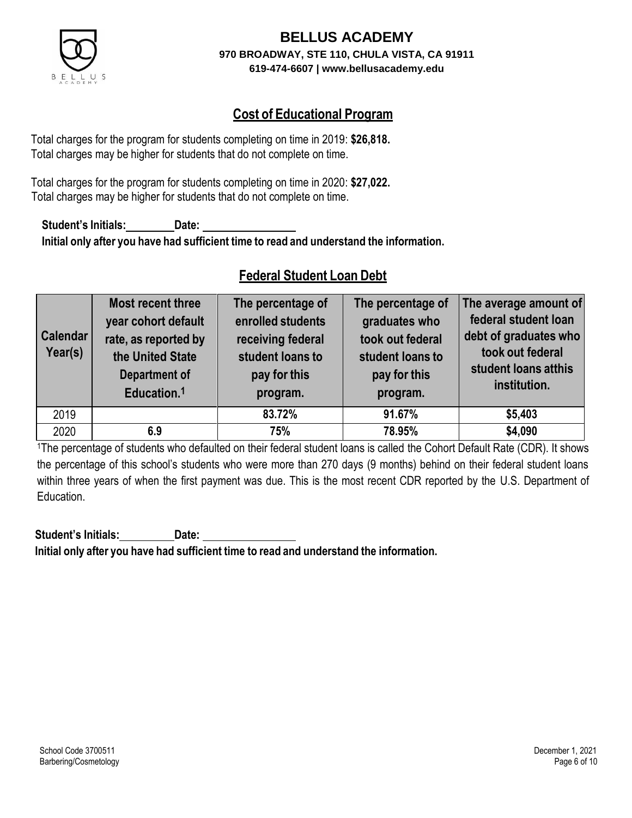

# **Cost of Educational Program**

Total charges for the program for students completing on time in 2019: **\$26,818.** Total charges may be higher for students that do not complete on time.

Total charges for the program for students completing on time in 2020: **\$27,022.** Total charges may be higher for students that do not complete on time.

**Student's Initials: Date: Initial only after you have had sufficient time to read and understand the information.**

## **Federal Student Loan Debt**

| <b>Calendar</b><br>Year(s) | Most recent three<br>year cohort default<br>rate, as reported by<br>the United State<br>Department of<br>Education. <sup>1</sup> | The percentage of<br>enrolled students<br>receiving federal<br>student loans to<br>pay for this<br>program. | The percentage of<br>graduates who<br>took out federal<br>student loans to<br>pay for this<br>program. | The average amount of<br>federal student loan<br>debt of graduates who<br>took out federal<br>student loans atthis<br>institution. |
|----------------------------|----------------------------------------------------------------------------------------------------------------------------------|-------------------------------------------------------------------------------------------------------------|--------------------------------------------------------------------------------------------------------|------------------------------------------------------------------------------------------------------------------------------------|
| 2019                       |                                                                                                                                  | 83.72%                                                                                                      | 91.67%                                                                                                 | \$5,403                                                                                                                            |
| 2020                       | 6.9                                                                                                                              | 75%                                                                                                         | 78.95%                                                                                                 | \$4,090                                                                                                                            |

<sup>1</sup>The percentage of students who defaulted on their federal student loans is called the Cohort Default Rate (CDR). It shows the percentage of this school's students who were more than 270 days (9 months) behind on their federal student loans within three years of when the first payment was due. This is the most recent CDR reported by the U.S. Department of Education.

**Student's Initials: Date: Initial only after you have had sufficient time to read and understand the information.**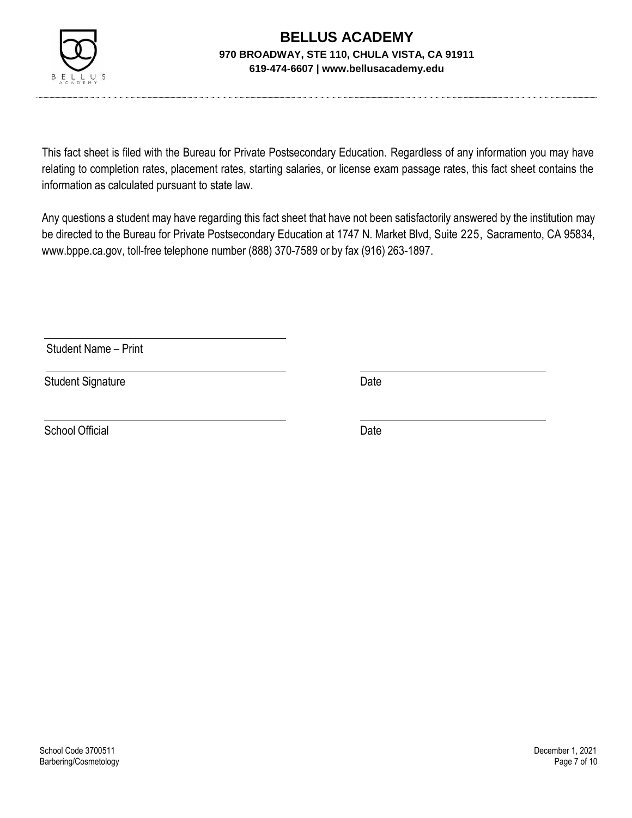

This fact sheet is filed with the Bureau for Private Postsecondary Education. Regardless of any information you may have relating to completion rates, placement rates, starting salaries, or license exam passage rates, this fact sheet contains the information as calculated pursuant to state law.

Any questions a student may have regarding this fact sheet that have not been satisfactorily answered by the institution may be directed to the Bureau for Private Postsecondary Education at 1747 N. Market Blvd, Suite 225, Sacramento, CA 95834, [www.bppe.ca.gov,](http://www.bppe.ca.gov/) toll-free telephone number (888) 370-7589 or by fax (916) 263-1897.

Student Name – Print

Student Signature Date Date

School Official Date Date Date Date Date Date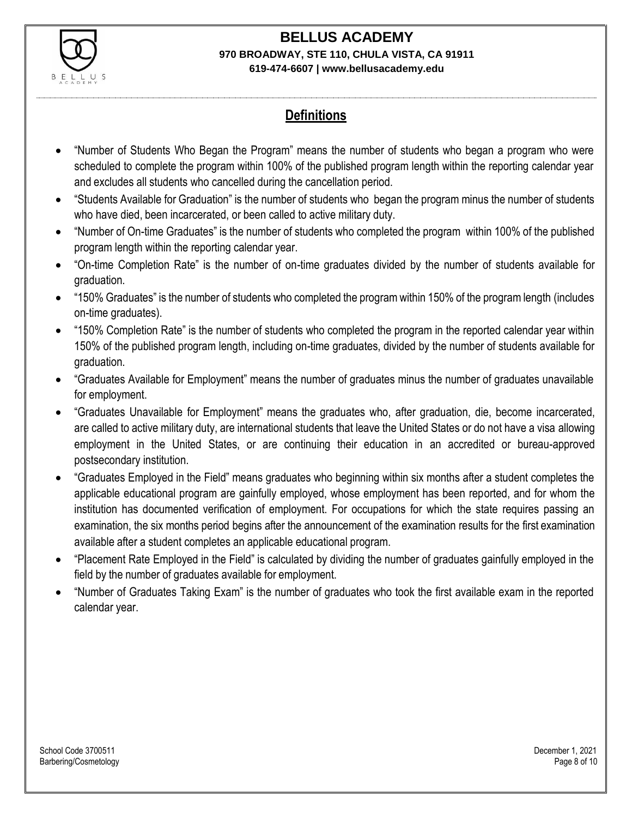

# **Definitions**

- "Number of Students Who Began the Program" means the number of students who began a program who were scheduled to complete the program within 100% of the published program length within the reporting calendar year and excludes all students who cancelled during the cancellation period.
- "Students Available for Graduation" is the number of students who began the program minus the number of students who have died, been incarcerated, or been called to active military duty.
- "Number of On-time Graduates" is the number of students who completed the program within 100% of the published program length within the reporting calendar year.
- "On-time Completion Rate" is the number of on-time graduates divided by the number of students available for graduation.
- "150% Graduates" is the number of students who completed the program within 150% of the program length (includes on-time graduates).
- "150% Completion Rate" is the number of students who completed the program in the reported calendar year within 150% of the published program length, including on-time graduates, divided by the number of students available for graduation.
- "Graduates Available for Employment" means the number of graduates minus the number of graduates unavailable for employment.
- "Graduates Unavailable for Employment" means the graduates who, after graduation, die, become incarcerated, are called to active military duty, are international students that leave the United States or do not have a visa allowing employment in the United States, or are continuing their education in an accredited or bureau-approved postsecondary institution.
- "Graduates Employed in the Field" means graduates who beginning within six months after a student completes the applicable educational program are gainfully employed, whose employment has been reported, and for whom the institution has documented verification of employment. For occupations for which the state requires passing an examination, the six months period begins after the announcement of the examination results for the first examination available after a student completes an applicable educational program.
- "Placement Rate Employed in the Field" is calculated by dividing the number of graduates gainfully employed in the field by the number of graduates available for employment.
- "Number of Graduates Taking Exam" is the number of graduates who took the first available exam in the reported calendar year.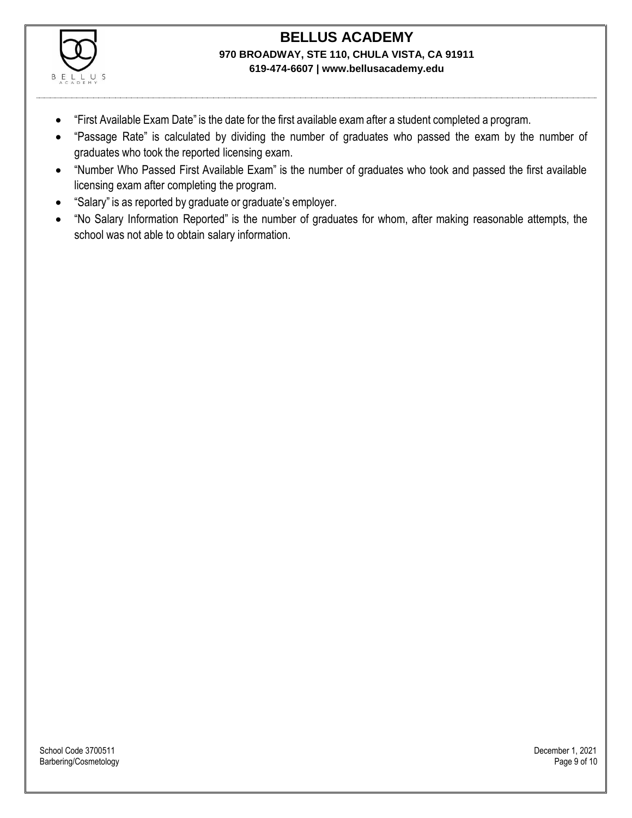

- "First Available Exam Date" is the date for the first available exam after a student completed a program.
- "Passage Rate" is calculated by dividing the number of graduates who passed the exam by the number of graduates who took the reported licensing exam.
- "Number Who Passed First Available Exam" is the number of graduates who took and passed the first available licensing exam after completing the program.
- "Salary" is as reported by graduate or graduate's employer.
- "No Salary Information Reported" is the number of graduates for whom, after making reasonable attempts, the school was not able to obtain salary information.